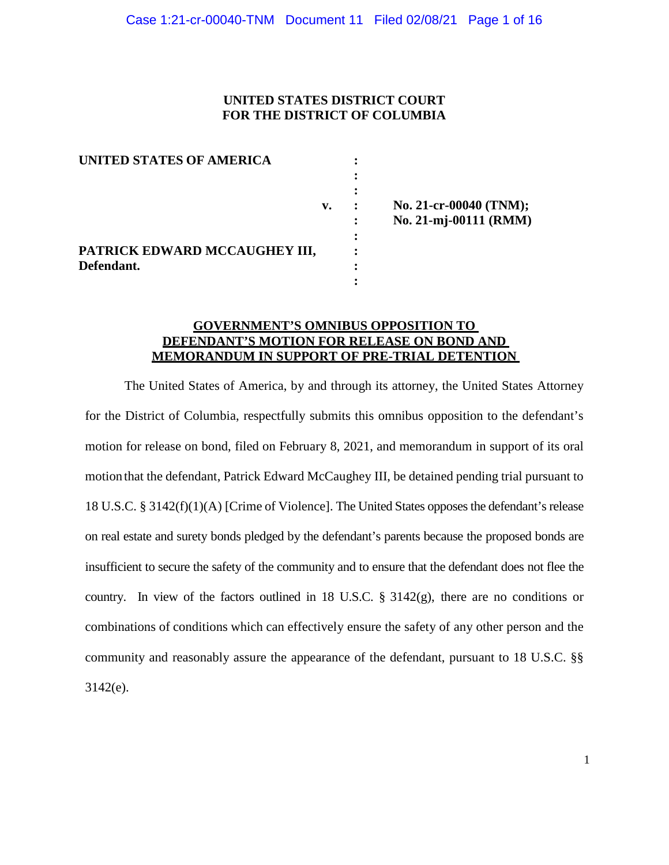# **UNITED STATES DISTRICT COURT FOR THE DISTRICT OF COLUMBIA**

| UNITED STATES OF AMERICA      |    |  |
|-------------------------------|----|--|
|                               |    |  |
|                               |    |  |
|                               | v. |  |
|                               |    |  |
|                               |    |  |
| PATRICK EDWARD MCCAUGHEY III, |    |  |
| Defendant.                    |    |  |
|                               |    |  |

**v. : No. 21-cr-00040 (TNM); : No. 21-mj-00111 (RMM)**

# **GOVERNMENT'S OMNIBUS OPPOSITION TO DEFENDANT'S MOTION FOR RELEASE ON BOND AND MEMORANDUM IN SUPPORT OF PRE-TRIAL DETENTION**

The United States of America, by and through its attorney, the United States Attorney for the District of Columbia, respectfully submits this omnibus opposition to the defendant's motion for release on bond, filed on February 8, 2021, and memorandum in support of its oral motion that the defendant, Patrick Edward McCaughey III, be detained pending trial pursuant to 18 U.S.C. § 3142(f)(1)(A) [Crime of Violence]. The United States opposes the defendant's release on real estate and surety bonds pledged by the defendant's parents because the proposed bonds are insufficient to secure the safety of the community and to ensure that the defendant does not flee the country. In view of the factors outlined in 18 U.S.C. § 3142(g), there are no conditions or combinations of conditions which can effectively ensure the safety of any other person and the community and reasonably assure the appearance of the defendant, pursuant to 18 U.S.C. §§ 3142(e).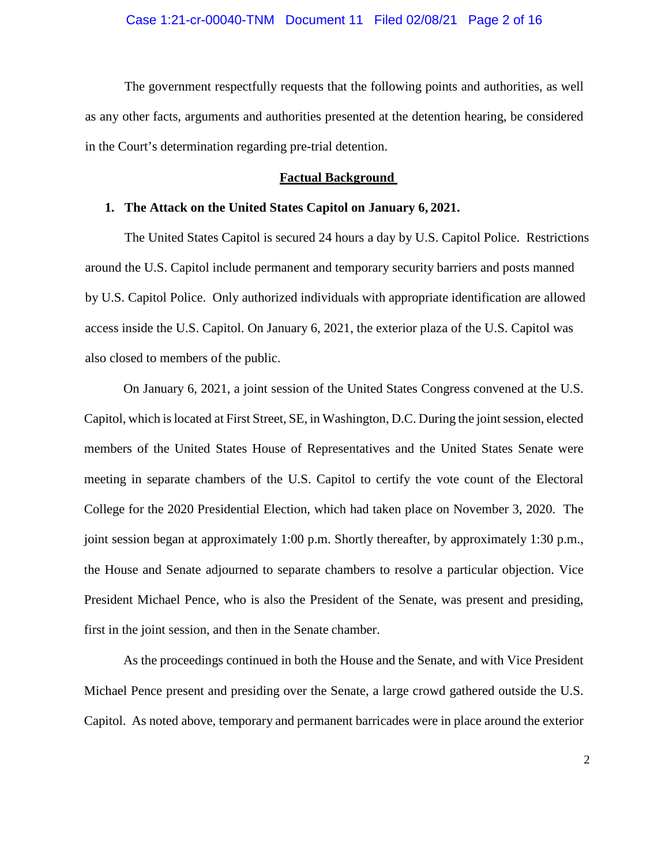The government respectfully requests that the following points and authorities, as well as any other facts, arguments and authorities presented at the detention hearing, be considered in the Court's determination regarding pre-trial detention.

### **Factual Background**

#### **1. The Attack on the United States Capitol on January 6, 2021.**

The United States Capitol is secured 24 hours a day by U.S. Capitol Police. Restrictions around the U.S. Capitol include permanent and temporary security barriers and posts manned by U.S. Capitol Police. Only authorized individuals with appropriate identification are allowed access inside the U.S. Capitol. On January 6, 2021, the exterior plaza of the U.S. Capitol was also closed to members of the public.

On January 6, 2021, a joint session of the United States Congress convened at the U.S. Capitol, which islocated at First Street, SE, in Washington, D.C. During the jointsession, elected members of the United States House of Representatives and the United States Senate were meeting in separate chambers of the U.S. Capitol to certify the vote count of the Electoral College for the 2020 Presidential Election, which had taken place on November 3, 2020. The joint session began at approximately 1:00 p.m. Shortly thereafter, by approximately 1:30 p.m., the House and Senate adjourned to separate chambers to resolve a particular objection. Vice President Michael Pence, who is also the President of the Senate, was present and presiding, first in the joint session, and then in the Senate chamber.

As the proceedings continued in both the House and the Senate, and with Vice President Michael Pence present and presiding over the Senate, a large crowd gathered outside the U.S. Capitol. As noted above, temporary and permanent barricades were in place around the exterior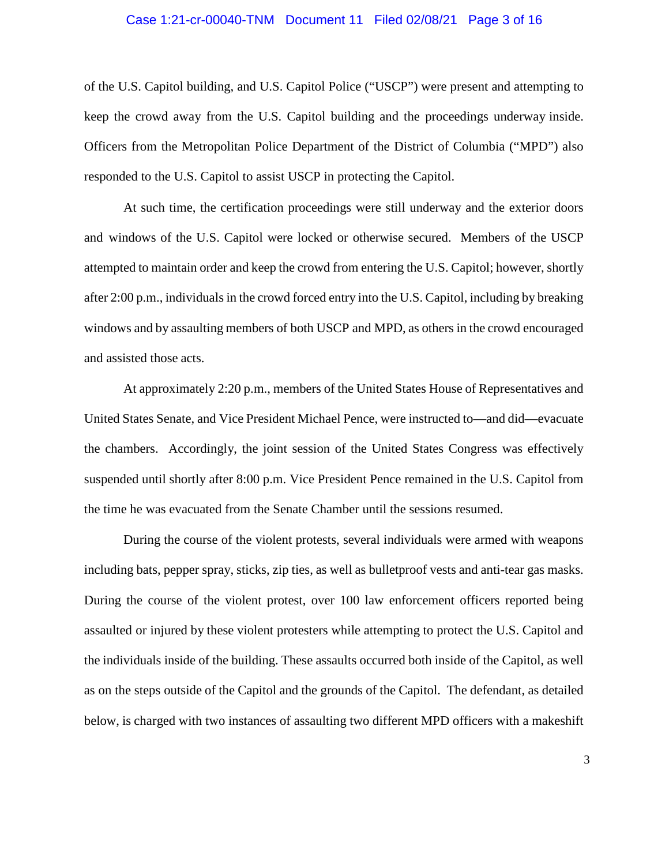#### Case 1:21-cr-00040-TNM Document 11 Filed 02/08/21 Page 3 of 16

of the U.S. Capitol building, and U.S. Capitol Police ("USCP") were present and attempting to keep the crowd away from the U.S. Capitol building and the proceedings underway inside. Officers from the Metropolitan Police Department of the District of Columbia ("MPD") also responded to the U.S. Capitol to assist USCP in protecting the Capitol.

At such time, the certification proceedings were still underway and the exterior doors and windows of the U.S. Capitol were locked or otherwise secured. Members of the USCP attempted to maintain order and keep the crowd from entering the U.S. Capitol; however, shortly after 2:00 p.m., individuals in the crowd forced entry into the U.S. Capitol, including by breaking windows and by assaulting members of both USCP and MPD, as others in the crowd encouraged and assisted those acts.

At approximately 2:20 p.m., members of the United States House of Representatives and United States Senate, and Vice President Michael Pence, were instructed to—and did—evacuate the chambers. Accordingly, the joint session of the United States Congress was effectively suspended until shortly after 8:00 p.m. Vice President Pence remained in the U.S. Capitol from the time he was evacuated from the Senate Chamber until the sessions resumed.

During the course of the violent protests, several individuals were armed with weapons including bats, pepper spray, sticks, zip ties, as well as bulletproof vests and anti-tear gas masks. During the course of the violent protest, over 100 law enforcement officers reported being assaulted or injured by these violent protesters while attempting to protect the U.S. Capitol and the individuals inside of the building. These assaults occurred both inside of the Capitol, as well as on the steps outside of the Capitol and the grounds of the Capitol. The defendant, as detailed below, is charged with two instances of assaulting two different MPD officers with a makeshift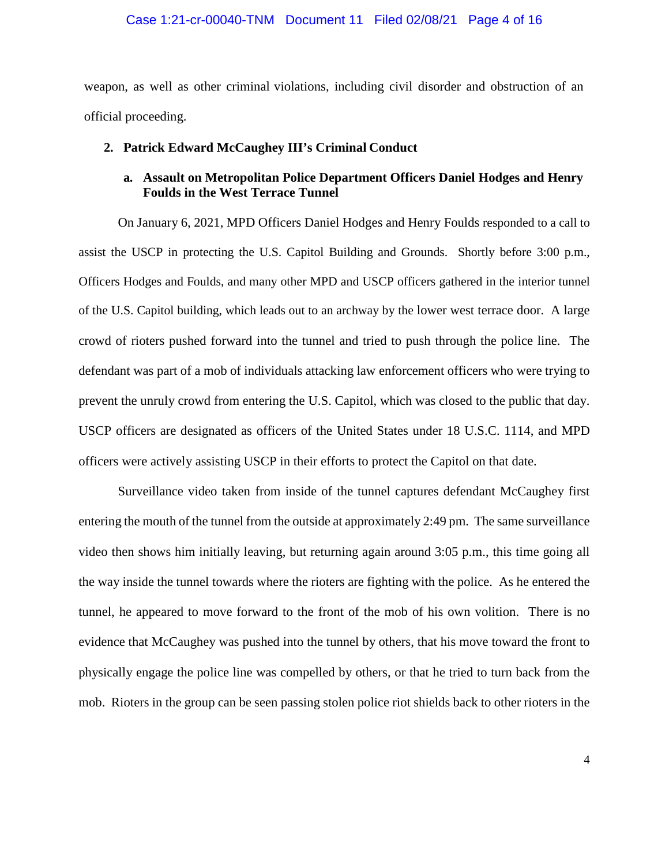### Case 1:21-cr-00040-TNM Document 11 Filed 02/08/21 Page 4 of 16

weapon, as well as other criminal violations, including civil disorder and obstruction of an official proceeding.

#### **2. Patrick Edward McCaughey III's Criminal Conduct**

# **a. Assault on Metropolitan Police Department Officers Daniel Hodges and Henry Foulds in the West Terrace Tunnel**

On January 6, 2021, MPD Officers Daniel Hodges and Henry Foulds responded to a call to assist the USCP in protecting the U.S. Capitol Building and Grounds. Shortly before 3:00 p.m., Officers Hodges and Foulds, and many other MPD and USCP officers gathered in the interior tunnel of the U.S. Capitol building, which leads out to an archway by the lower west terrace door. A large crowd of rioters pushed forward into the tunnel and tried to push through the police line. The defendant was part of a mob of individuals attacking law enforcement officers who were trying to prevent the unruly crowd from entering the U.S. Capitol, which was closed to the public that day. USCP officers are designated as officers of the United States under 18 U.S.C. 1114, and MPD officers were actively assisting USCP in their efforts to protect the Capitol on that date.

Surveillance video taken from inside of the tunnel captures defendant McCaughey first entering the mouth of the tunnel from the outside at approximately 2:49 pm. The same surveillance video then shows him initially leaving, but returning again around 3:05 p.m., this time going all the way inside the tunnel towards where the rioters are fighting with the police. As he entered the tunnel, he appeared to move forward to the front of the mob of his own volition. There is no evidence that McCaughey was pushed into the tunnel by others, that his move toward the front to physically engage the police line was compelled by others, or that he tried to turn back from the mob. Rioters in the group can be seen passing stolen police riot shields back to other rioters in the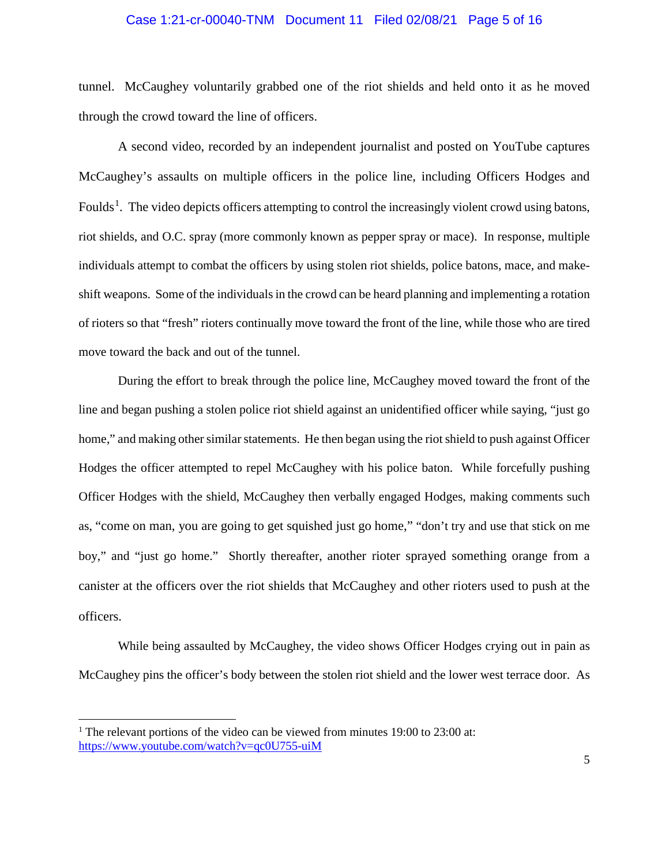### Case 1:21-cr-00040-TNM Document 11 Filed 02/08/21 Page 5 of 16

tunnel. McCaughey voluntarily grabbed one of the riot shields and held onto it as he moved through the crowd toward the line of officers.

A second video, recorded by an independent journalist and posted on YouTube captures McCaughey's assaults on multiple officers in the police line, including Officers Hodges and Foulds<sup>1</sup>. The video depicts officers attempting to control the increasingly violent crowd using batons, riot shields, and O.C. spray (more commonly known as pepper spray or mace). In response, multiple individuals attempt to combat the officers by using stolen riot shields, police batons, mace, and makeshift weapons. Some of the individuals in the crowd can be heard planning and implementing a rotation of rioters so that "fresh" rioters continually move toward the front of the line, while those who are tired move toward the back and out of the tunnel.

During the effort to break through the police line, McCaughey moved toward the front of the line and began pushing a stolen police riot shield against an unidentified officer while saying, "just go home," and making other similar statements. He then began using the riot shield to push against Officer Hodges the officer attempted to repel McCaughey with his police baton. While forcefully pushing Officer Hodges with the shield, McCaughey then verbally engaged Hodges, making comments such as, "come on man, you are going to get squished just go home," "don't try and use that stick on me boy," and "just go home." Shortly thereafter, another rioter sprayed something orange from a canister at the officers over the riot shields that McCaughey and other rioters used to push at the officers.

While being assaulted by McCaughey, the video shows Officer Hodges crying out in pain as McCaughey pins the officer's body between the stolen riot shield and the lower west terrace door. As

<sup>&</sup>lt;sup>1</sup> The relevant portions of the video can be viewed from minutes 19:00 to 23:00 at: https://www.youtube.com/watch?v=qc0U755-uiM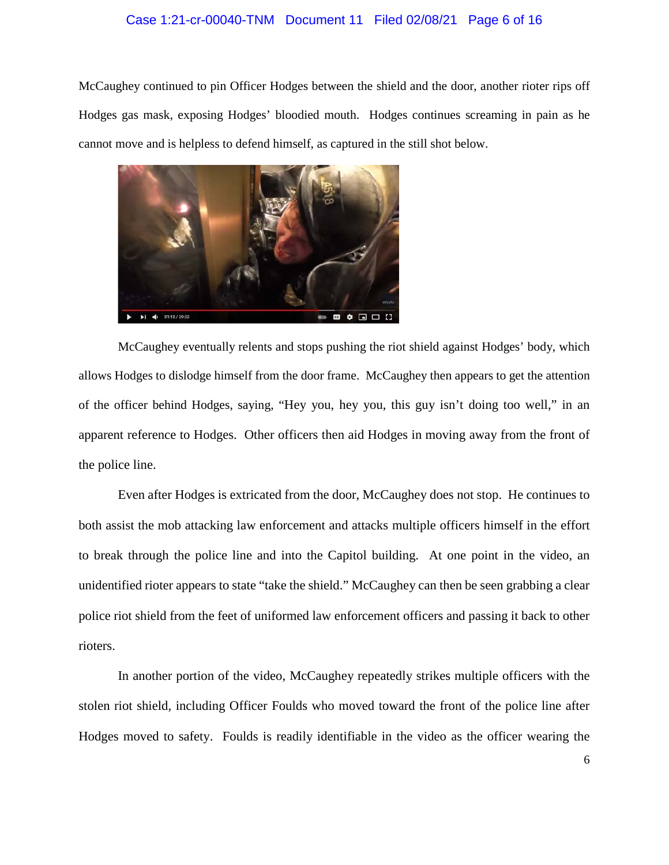#### Case 1:21-cr-00040-TNM Document 11 Filed 02/08/21 Page 6 of 16

McCaughey continued to pin Officer Hodges between the shield and the door, another rioter rips off Hodges gas mask, exposing Hodges' bloodied mouth. Hodges continues screaming in pain as he cannot move and is helpless to defend himself, as captured in the still shot below.



McCaughey eventually relents and stops pushing the riot shield against Hodges' body, which allows Hodges to dislodge himself from the door frame. McCaughey then appears to get the attention of the officer behind Hodges, saying, "Hey you, hey you, this guy isn't doing too well," in an apparent reference to Hodges. Other officers then aid Hodges in moving away from the front of the police line.

Even after Hodges is extricated from the door, McCaughey does not stop. He continues to both assist the mob attacking law enforcement and attacks multiple officers himself in the effort to break through the police line and into the Capitol building. At one point in the video, an unidentified rioter appears to state "take the shield." McCaughey can then be seen grabbing a clear police riot shield from the feet of uniformed law enforcement officers and passing it back to other rioters.

In another portion of the video, McCaughey repeatedly strikes multiple officers with the stolen riot shield, including Officer Foulds who moved toward the front of the police line after Hodges moved to safety. Foulds is readily identifiable in the video as the officer wearing the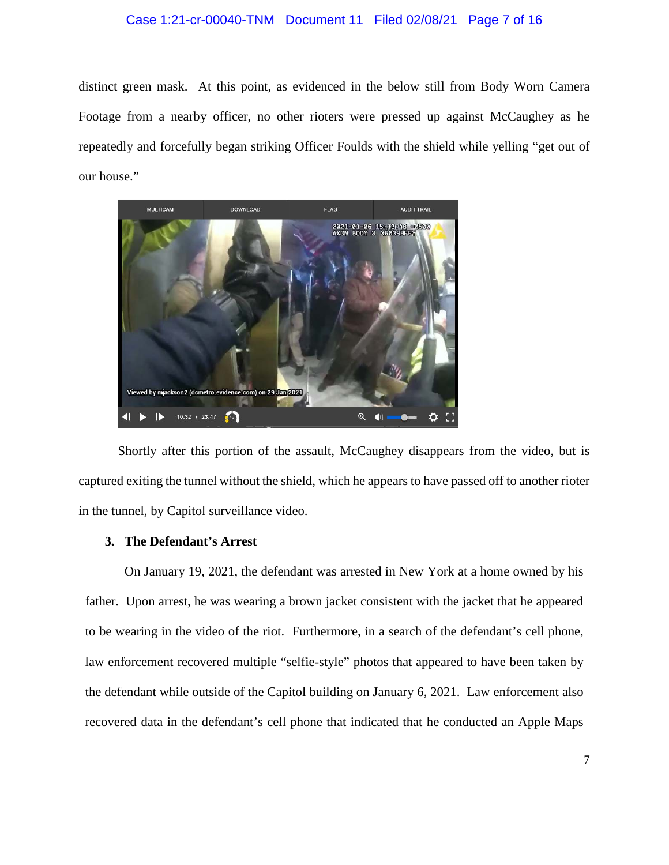### Case 1:21-cr-00040-TNM Document 11 Filed 02/08/21 Page 7 of 16

distinct green mask. At this point, as evidenced in the below still from Body Worn Camera Footage from a nearby officer, no other rioters were pressed up against McCaughey as he repeatedly and forcefully began striking Officer Foulds with the shield while yelling "get out of our house."



Shortly after this portion of the assault, McCaughey disappears from the video, but is captured exiting the tunnel without the shield, which he appears to have passed off to another rioter in the tunnel, by Capitol surveillance video.

## **3. The Defendant's Arrest**

On January 19, 2021, the defendant was arrested in New York at a home owned by his father. Upon arrest, he was wearing a brown jacket consistent with the jacket that he appeared to be wearing in the video of the riot. Furthermore, in a search of the defendant's cell phone, law enforcement recovered multiple "selfie-style" photos that appeared to have been taken by the defendant while outside of the Capitol building on January 6, 2021. Law enforcement also recovered data in the defendant's cell phone that indicated that he conducted an Apple Maps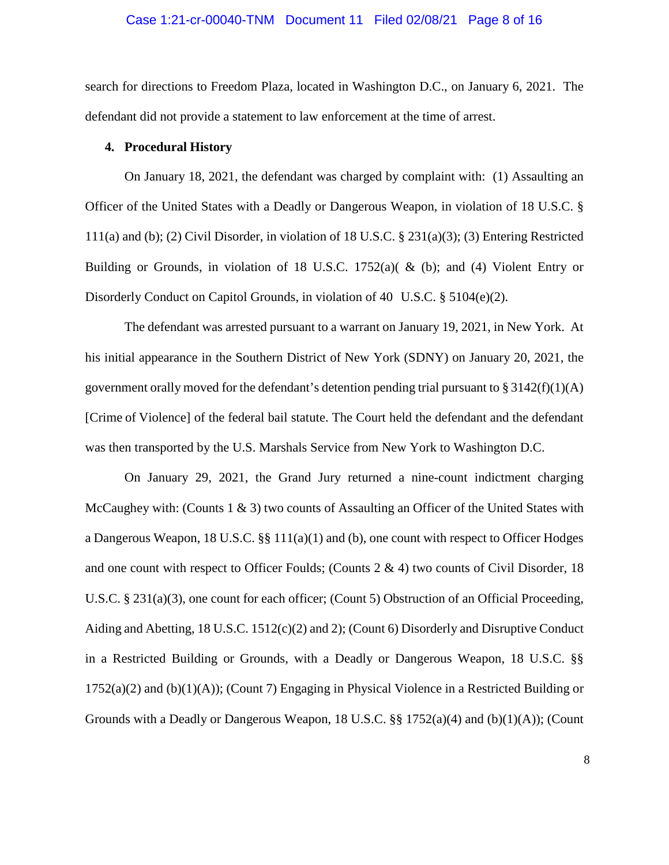#### Case 1:21-cr-00040-TNM Document 11 Filed 02/08/21 Page 8 of 16

search for directions to Freedom Plaza, located in Washington D.C., on January 6, 2021. The defendant did not provide a statement to law enforcement at the time of arrest.

### **4. Procedural History**

On January 18, 2021, the defendant was charged by complaint with: (1) Assaulting an Officer of the United States with a Deadly or Dangerous Weapon, in violation of 18 U.S.C. § 111(a) and (b); (2) Civil Disorder, in violation of 18 U.S.C. § 231(a)(3); (3) Entering Restricted Building or Grounds, in violation of 18 U.S.C. 1752(a)( & (b); and (4) Violent Entry or Disorderly Conduct on Capitol Grounds, in violation of 40 U.S.C. § 5104(e)(2).

The defendant was arrested pursuant to a warrant on January 19, 2021, in New York. At his initial appearance in the Southern District of New York (SDNY) on January 20, 2021, the government orally moved for the defendant's detention pending trial pursuant to  $\S 3142(f)(1)(A)$ [Crime of Violence] of the federal bail statute. The Court held the defendant and the defendant was then transported by the U.S. Marshals Service from New York to Washington D.C.

On January 29, 2021, the Grand Jury returned a nine-count indictment charging McCaughey with: (Counts  $1 \& 3$ ) two counts of Assaulting an Officer of the United States with a Dangerous Weapon, 18 U.S.C. §§ 111(a)(1) and (b), one count with respect to Officer Hodges and one count with respect to Officer Foulds; (Counts  $2 \& 4$ ) two counts of Civil Disorder, 18 U.S.C. § 231(a)(3), one count for each officer; (Count 5) Obstruction of an Official Proceeding, Aiding and Abetting, 18 U.S.C. 1512(c)(2) and 2); (Count 6) Disorderly and Disruptive Conduct in a Restricted Building or Grounds, with a Deadly or Dangerous Weapon, 18 U.S.C. §§  $1752(a)(2)$  and (b)(1)(A)); (Count 7) Engaging in Physical Violence in a Restricted Building or Grounds with a Deadly or Dangerous Weapon, 18 U.S.C. §§ 1752(a)(4) and (b)(1)(A)); (Count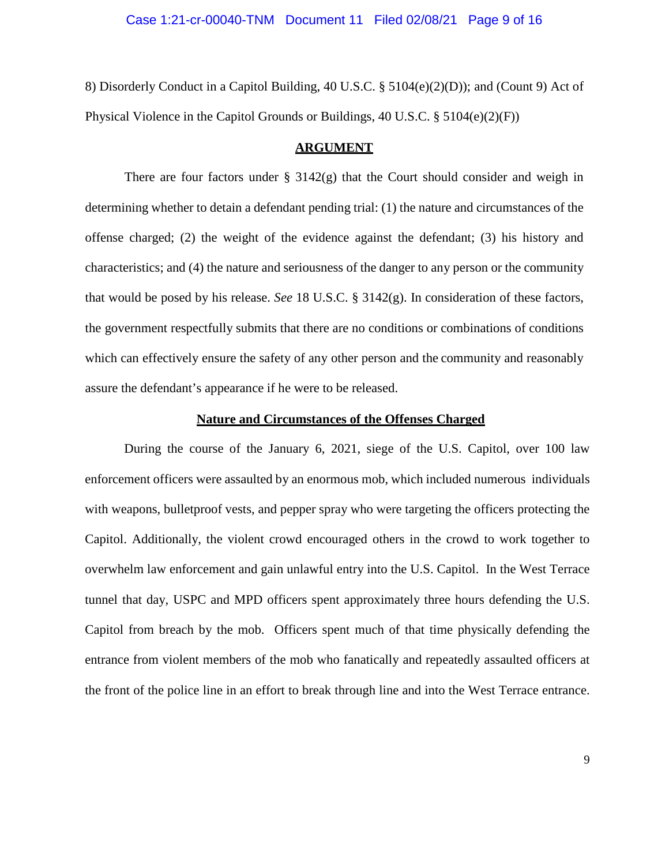#### Case 1:21-cr-00040-TNM Document 11 Filed 02/08/21 Page 9 of 16

8) Disorderly Conduct in a Capitol Building, 40 U.S.C.  $\S$  5104(e)(2)(D)); and (Count 9) Act of Physical Violence in the Capitol Grounds or Buildings, 40 U.S.C. § 5104(e)(2)(F))

#### **ARGUMENT**

There are four factors under  $\S$  3142(g) that the Court should consider and weigh in determining whether to detain a defendant pending trial: (1) the nature and circumstances of the offense charged; (2) the weight of the evidence against the defendant; (3) his history and characteristics; and (4) the nature and seriousness of the danger to any person or the community that would be posed by his release. *See* 18 U.S.C. § 3142(g). In consideration of these factors, the government respectfully submits that there are no conditions or combinations of conditions which can effectively ensure the safety of any other person and the community and reasonably assure the defendant's appearance if he were to be released.

#### **Nature and Circumstances of the Offenses Charged**

During the course of the January 6, 2021, siege of the U.S. Capitol, over 100 law enforcement officers were assaulted by an enormous mob, which included numerous individuals with weapons, bulletproof vests, and pepper spray who were targeting the officers protecting the Capitol. Additionally, the violent crowd encouraged others in the crowd to work together to overwhelm law enforcement and gain unlawful entry into the U.S. Capitol. In the West Terrace tunnel that day, USPC and MPD officers spent approximately three hours defending the U.S. Capitol from breach by the mob. Officers spent much of that time physically defending the entrance from violent members of the mob who fanatically and repeatedly assaulted officers at the front of the police line in an effort to break through line and into the West Terrace entrance.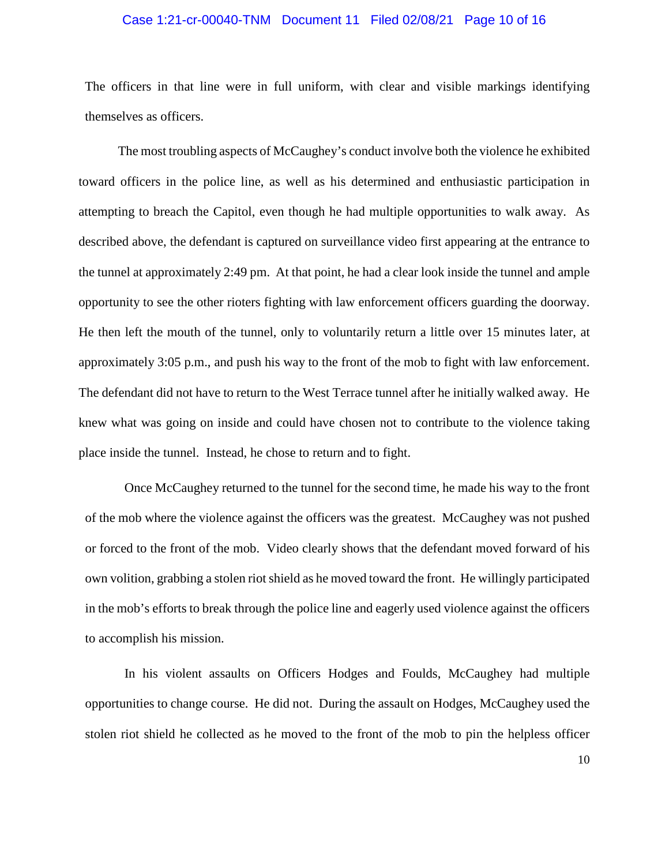## Case 1:21-cr-00040-TNM Document 11 Filed 02/08/21 Page 10 of 16

The officers in that line were in full uniform, with clear and visible markings identifying themselves as officers.

The most troubling aspects of McCaughey's conduct involve both the violence he exhibited toward officers in the police line, as well as his determined and enthusiastic participation in attempting to breach the Capitol, even though he had multiple opportunities to walk away. As described above, the defendant is captured on surveillance video first appearing at the entrance to the tunnel at approximately 2:49 pm. At that point, he had a clear look inside the tunnel and ample opportunity to see the other rioters fighting with law enforcement officers guarding the doorway. He then left the mouth of the tunnel, only to voluntarily return a little over 15 minutes later, at approximately 3:05 p.m., and push his way to the front of the mob to fight with law enforcement. The defendant did not have to return to the West Terrace tunnel after he initially walked away. He knew what was going on inside and could have chosen not to contribute to the violence taking place inside the tunnel. Instead, he chose to return and to fight.

Once McCaughey returned to the tunnel for the second time, he made his way to the front of the mob where the violence against the officers was the greatest. McCaughey was not pushed or forced to the front of the mob. Video clearly shows that the defendant moved forward of his own volition, grabbing a stolen riot shield as he moved toward the front. He willingly participated in the mob's efforts to break through the police line and eagerly used violence against the officers to accomplish his mission.

In his violent assaults on Officers Hodges and Foulds, McCaughey had multiple opportunities to change course. He did not. During the assault on Hodges, McCaughey used the stolen riot shield he collected as he moved to the front of the mob to pin the helpless officer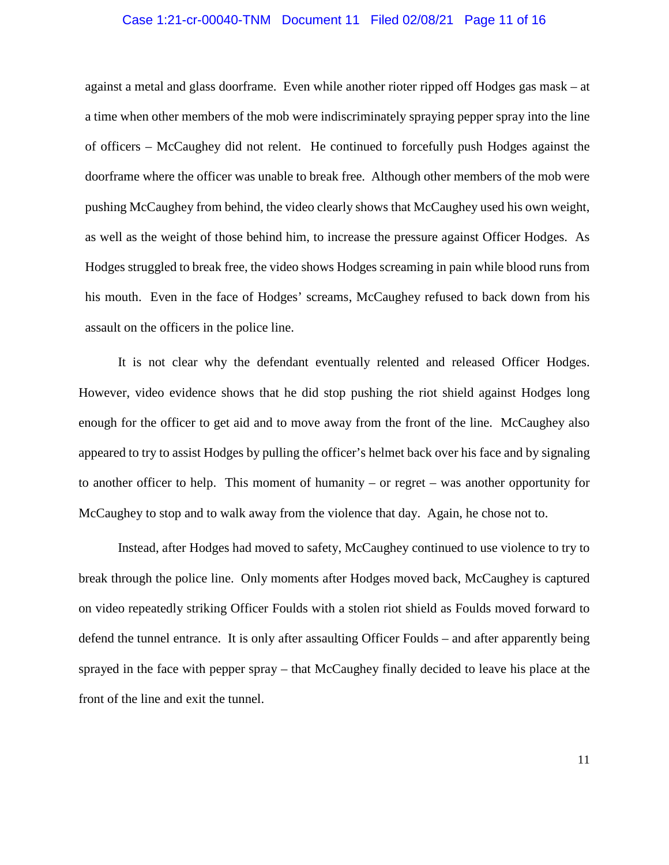## Case 1:21-cr-00040-TNM Document 11 Filed 02/08/21 Page 11 of 16

against a metal and glass doorframe. Even while another rioter ripped off Hodges gas mask – at a time when other members of the mob were indiscriminately spraying pepper spray into the line of officers – McCaughey did not relent. He continued to forcefully push Hodges against the doorframe where the officer was unable to break free. Although other members of the mob were pushing McCaughey from behind, the video clearly shows that McCaughey used his own weight, as well as the weight of those behind him, to increase the pressure against Officer Hodges. As Hodges struggled to break free, the video shows Hodges screaming in pain while blood runs from his mouth. Even in the face of Hodges' screams, McCaughey refused to back down from his assault on the officers in the police line.

It is not clear why the defendant eventually relented and released Officer Hodges. However, video evidence shows that he did stop pushing the riot shield against Hodges long enough for the officer to get aid and to move away from the front of the line. McCaughey also appeared to try to assist Hodges by pulling the officer's helmet back over his face and by signaling to another officer to help. This moment of humanity – or regret – was another opportunity for McCaughey to stop and to walk away from the violence that day. Again, he chose not to.

Instead, after Hodges had moved to safety, McCaughey continued to use violence to try to break through the police line. Only moments after Hodges moved back, McCaughey is captured on video repeatedly striking Officer Foulds with a stolen riot shield as Foulds moved forward to defend the tunnel entrance. It is only after assaulting Officer Foulds – and after apparently being sprayed in the face with pepper spray – that McCaughey finally decided to leave his place at the front of the line and exit the tunnel.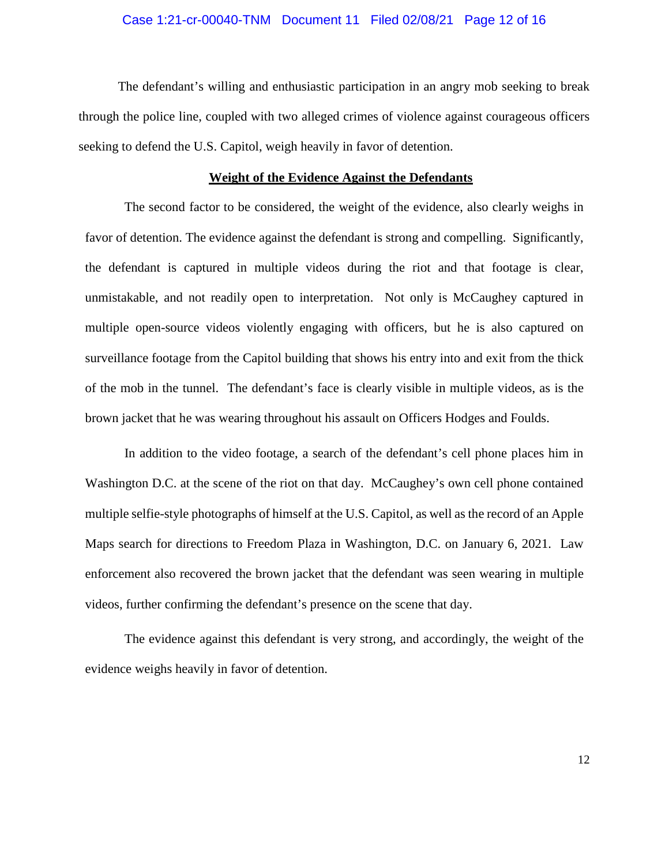## Case 1:21-cr-00040-TNM Document 11 Filed 02/08/21 Page 12 of 16

The defendant's willing and enthusiastic participation in an angry mob seeking to break through the police line, coupled with two alleged crimes of violence against courageous officers seeking to defend the U.S. Capitol, weigh heavily in favor of detention.

#### **Weight of the Evidence Against the Defendants**

The second factor to be considered, the weight of the evidence, also clearly weighs in favor of detention. The evidence against the defendant is strong and compelling. Significantly, the defendant is captured in multiple videos during the riot and that footage is clear, unmistakable, and not readily open to interpretation. Not only is McCaughey captured in multiple open-source videos violently engaging with officers, but he is also captured on surveillance footage from the Capitol building that shows his entry into and exit from the thick of the mob in the tunnel. The defendant's face is clearly visible in multiple videos, as is the brown jacket that he was wearing throughout his assault on Officers Hodges and Foulds.

In addition to the video footage, a search of the defendant's cell phone places him in Washington D.C. at the scene of the riot on that day. McCaughey's own cell phone contained multiple selfie-style photographs of himself at the U.S. Capitol, as well as the record of an Apple Maps search for directions to Freedom Plaza in Washington, D.C. on January 6, 2021. Law enforcement also recovered the brown jacket that the defendant was seen wearing in multiple videos, further confirming the defendant's presence on the scene that day.

The evidence against this defendant is very strong, and accordingly, the weight of the evidence weighs heavily in favor of detention.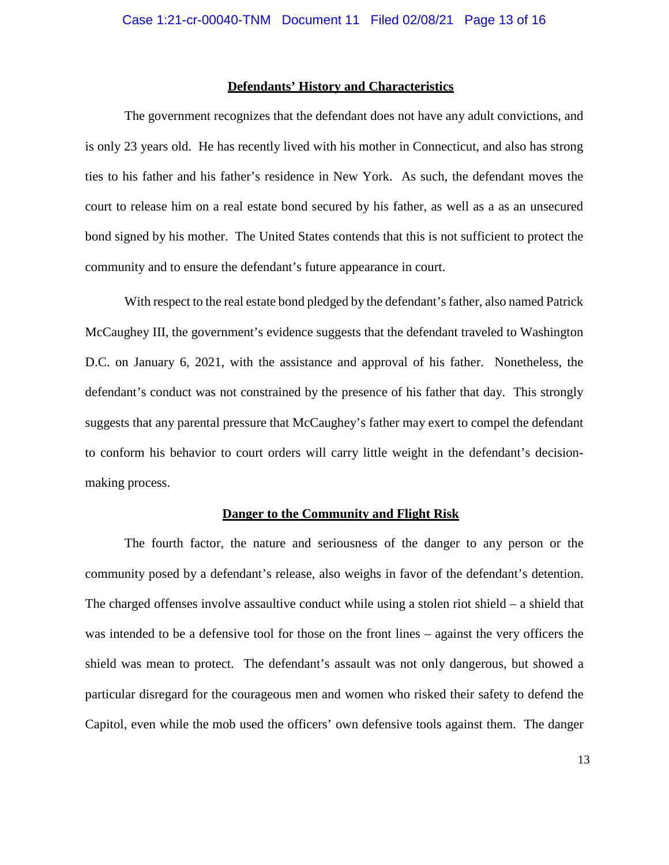#### **Defendants' History and Characteristics**

The government recognizes that the defendant does not have any adult convictions, and is only 23 years old. He has recently lived with his mother in Connecticut, and also has strong ties to his father and his father's residence in New York. As such, the defendant moves the court to release him on a real estate bond secured by his father, as well as a as an unsecured bond signed by his mother. The United States contends that this is not sufficient to protect the community and to ensure the defendant's future appearance in court.

With respect to the real estate bond pledged by the defendant's father, also named Patrick McCaughey III, the government's evidence suggests that the defendant traveled to Washington D.C. on January 6, 2021, with the assistance and approval of his father. Nonetheless, the defendant's conduct was not constrained by the presence of his father that day. This strongly suggests that any parental pressure that McCaughey's father may exert to compel the defendant to conform his behavior to court orders will carry little weight in the defendant's decisionmaking process.

#### **Danger to the Community and Flight Risk**

The fourth factor, the nature and seriousness of the danger to any person or the community posed by a defendant's release, also weighs in favor of the defendant's detention. The charged offenses involve assaultive conduct while using a stolen riot shield – a shield that was intended to be a defensive tool for those on the front lines – against the very officers the shield was mean to protect. The defendant's assault was not only dangerous, but showed a particular disregard for the courageous men and women who risked their safety to defend the Capitol, even while the mob used the officers' own defensive tools against them. The danger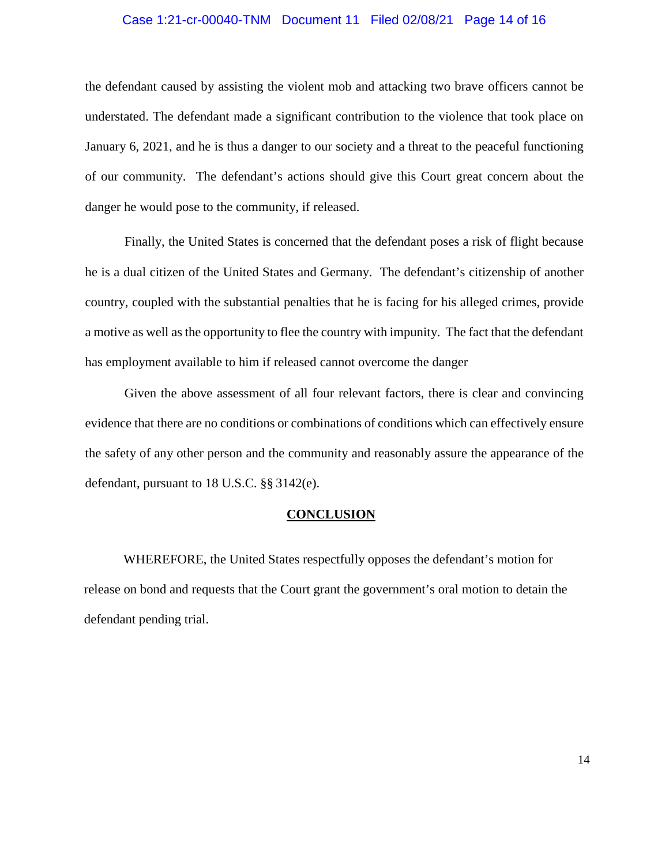## Case 1:21-cr-00040-TNM Document 11 Filed 02/08/21 Page 14 of 16

the defendant caused by assisting the violent mob and attacking two brave officers cannot be understated. The defendant made a significant contribution to the violence that took place on January 6, 2021, and he is thus a danger to our society and a threat to the peaceful functioning of our community. The defendant's actions should give this Court great concern about the danger he would pose to the community, if released.

Finally, the United States is concerned that the defendant poses a risk of flight because he is a dual citizen of the United States and Germany. The defendant's citizenship of another country, coupled with the substantial penalties that he is facing for his alleged crimes, provide a motive as well as the opportunity to flee the country with impunity. The fact that the defendant has employment available to him if released cannot overcome the danger

Given the above assessment of all four relevant factors, there is clear and convincing evidence that there are no conditions or combinations of conditions which can effectively ensure the safety of any other person and the community and reasonably assure the appearance of the defendant, pursuant to 18 U.S.C. §§ 3142(e).

# **CONCLUSION**

WHEREFORE, the United States respectfully opposes the defendant's motion for release on bond and requests that the Court grant the government's oral motion to detain the defendant pending trial.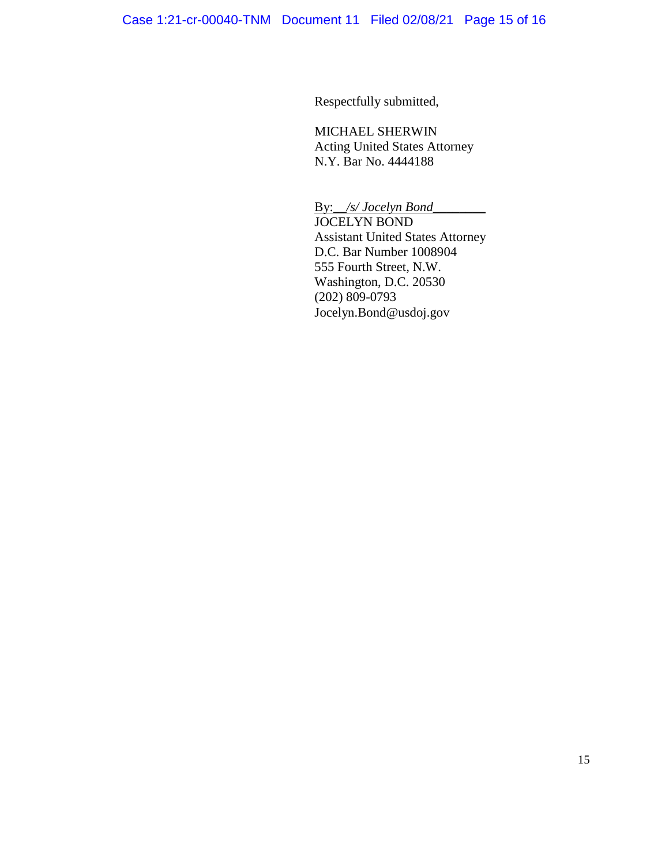Respectfully submitted,

MICHAEL SHERWIN Acting United States Attorney N.Y. Bar No. 4444188

By:*\_\_/s/ Jocelyn Bond*\_\_\_\_\_\_\_\_ JOCELYN BOND Assistant United States Attorney D.C. Bar Number 1008904 555 Fourth Street, N.W. Washington, D.C. 20530 (202) 809-0793 Jocelyn.Bond@usdoj.gov